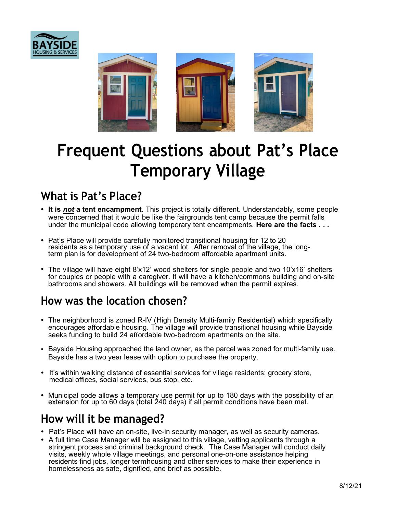



# **Frequent Questions about Pat's Place Temporary Village**

## **What is Pat's Place?**

- **It is** *not* **a tent encampment**. This project is totally different. Understandably, some people were concerned that it would be like the fairgrounds tent camp because the permit falls under the municipal code allowing temporary tent encampments. **Here are the facts . . .**
- Pat's Place will provide carefully monitored transitional housing for 12 to 20<br>fresidents as a temporary use of a vacant lot. After removal of the village, the longterm plan is for development of 24 two-bedroom affordable apartment units.
- The village will have eight 8'x12' wood shelters for single people and two 10'x16' shelters for couples or people with a caregiver. It will have a kitchen/commons building and on-site bathrooms and showers. All buildings will be removed when the permit expires.

### **How was the location chosen?**

- The neighborhood is zoned R-IV (High Density Multi-family Residential) which specifically encourages affordable housing. The village will provide transitional housing while Bayside seeks funding to build 24 affordable two-bedroom apartments on the site.
- Bayside Housing approached the land owner, as the parcel was zoned for multi-family use. Bayside has a two year lease with option to purchase the property.
- It's within walking distance of essential services for village residents: grocery store, medical offices, social services, bus stop, etc.
- Municipal code allows a temporary use permit for up to 180 days with the possibility of an extension for up to 60 days (total 240 days) if all permit conditions have been met.

### **How will it be managed?**

- Pat's Place will have an on-site, live-in security manager, as well as security cameras.
- A full time Case Manager will be assigned to this village, vetting applicants through a stringent process and criminal background check. The Case Manager will conduct daily visits, weekly whole village meetings, and personal one-on-one assistance helping residents find jobs, longer term housing and other services to make their experience in homelessness as safe, dignified, and brief as possible.